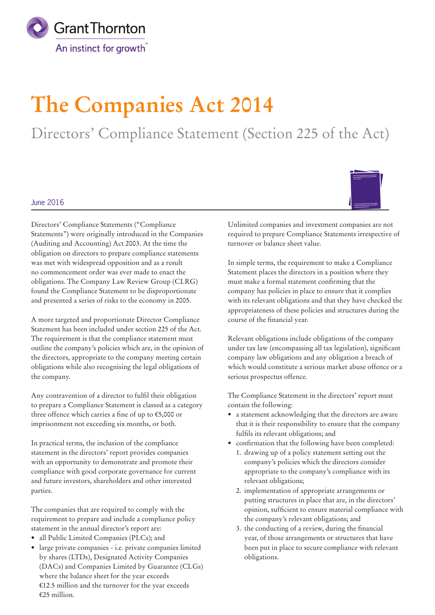

# **The Companies Act 2014**

Directors' Compliance Statement (Section 225 of the Act)

## June 2016

Directors' Compliance Statements ("Compliance Statements") were originally introduced in the Companies (Auditing and Accounting) Act 2003. At the time the obligation on directors to prepare compliance statements was met with widespread opposition and as a result no commencement order was ever made to enact the obligations. The Company Law Review Group (CLRG) found the Compliance Statement to be disproportionate and presented a series of risks to the economy in 2005.

A more targeted and proportionate Director Compliance Statement has been included under section 225 of the Act. The requirement is that the compliance statement must outline the company's policies which are, in the opinion of the directors, appropriate to the company meeting certain obligations while also recognising the legal obligations of the company.

Any contravention of a director to fulfil their obligation to prepare a Compliance Statement is classed as a category three offence which carries a fine of up to €5,000 or imprisonment not exceeding six months, or both.

In practical terms, the inclusion of the compliance statement in the directors' report provides companies with an opportunity to demonstrate and promote their compliance with good corporate governance for current and future investors, shareholders and other interested parties.

The companies that are required to comply with the requirement to prepare and include a compliance policy statement in the annual director's report are:

- all Public Limited Companies (PLCs); and
- large private companies i.e. private companies limited by shares (LTDs), Designated Activity Companies (DACs) and Companies Limited by Guarantee (CLGs) where the balance sheet for the year exceeds €12.5 million and the turnover for the year exceeds €25 million.



In simple terms, the requirement to make a Compliance Statement places the directors in a position where they must make a formal statement confirming that the company has policies in place to ensure that it complies with its relevant obligations and that they have checked the appropriateness of these policies and structures during the course of the financial year.

Relevant obligations include obligations of the company under tax law (encompassing all tax legislation), significant company law obligations and any obligation a breach of which would constitute a serious market abuse offence or a serious prospectus offence.

The Compliance Statement in the directors' report must contain the following:

- a statement acknowledging that the directors are aware that it is their responsibility to ensure that the company fulfils its relevant obligations; and
- confirmation that the following have been completed:
	- 1. drawing up of a policy statement setting out the company's policies which the directors consider appropriate to the company's compliance with its relevant obligations;
	- 2. implementation of appropriate arrangements or putting structures in place that are, in the directors' opinion, sufficient to ensure material compliance with the company's relevant obligations; and
	- 3. the conducting of a review, during the financial year, of those arrangements or structures that have been put in place to secure compliance with relevant obligations.